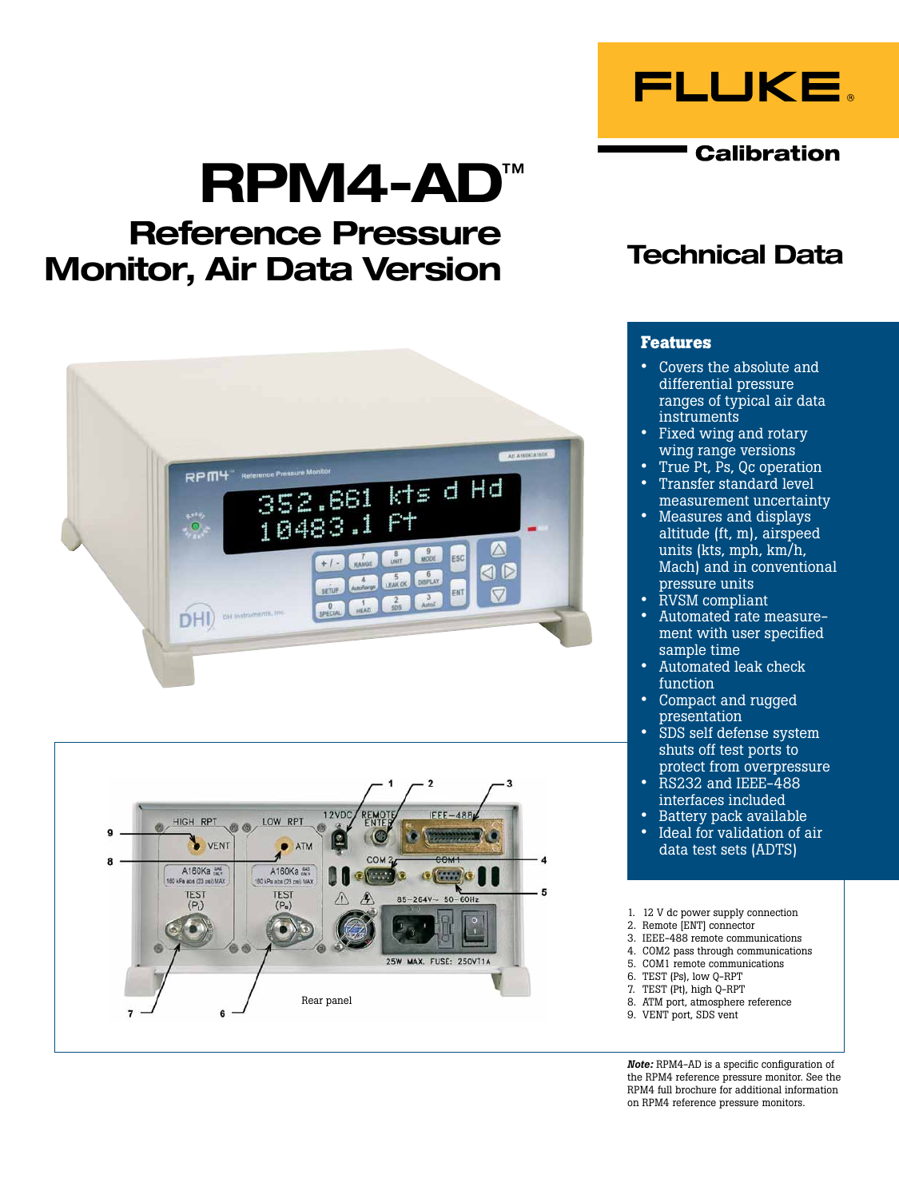

**Calibration** 

# RPM4-AD™

## Reference Pressure Monitor, Air Data Version





### Technical Data

#### **Features**

- Covers the absolute and differential pressure ranges of typical air data instruments
- Fixed wing and rotary wing range versions
- True Pt, Ps, Qc operation • Transfer standard level
- measurement uncertainty • Measures and displays altitude (ft, m), airspeed units (kts, mph, km/h, Mach) and in conventional pressure units
- RVSM compliant
- Automated rate measurement with user specified sample time
- Automated leak check function
- Compact and rugged presentation
- SDS self defense system shuts off test ports to protect from overpressure
- RS232 and IEEE-488 interfaces included
- Battery pack available<br>• Ideal for validation of a
- Ideal for validation of air data test sets (ADTS)
- 1. 12 V dc power supply connection
- 2. Remote [ENT] connector
- 3. IEEE-488 remote communications 4. COM2 pass through communications
- 5. COM1 remote communications
- 6. TEST (Ps), low Q-RPT
- 7. TEST (Pt), high Q-RPT
- 8. ATM port, atmosphere reference
- 9. VENT port, SDS vent

*Note:* RPM4-AD is a specific configuration of the RPM4 reference pressure monitor. See the RPM4 full brochure for additional information on RPM4 reference pressure monitors.